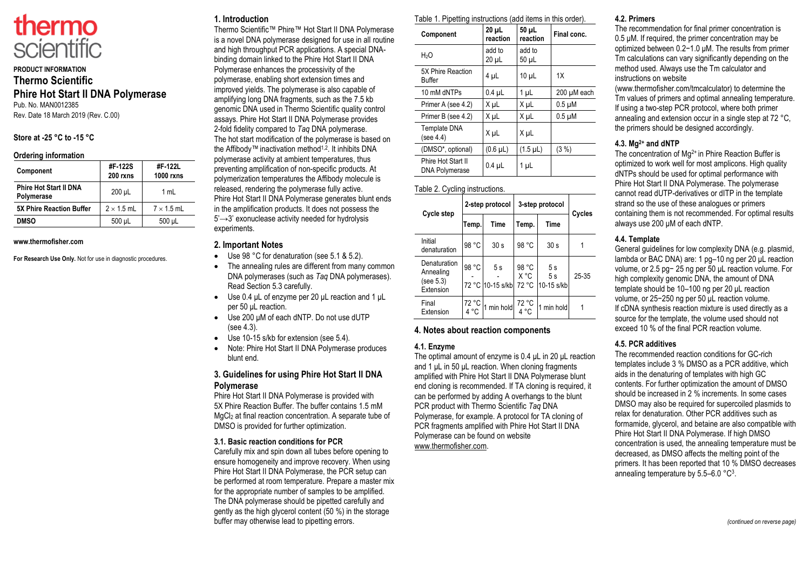

# **PRODUCT INFORMATION Thermo Scientific Phire Hot Start II DNA Polymerase** Pub. No. MAN0012385

Rev. Date 18 March 2019 (Rev. C.00)

## **Store at -25 °C to -15 °C**

#### **Ordering information**

| Component                                   | #F-122S<br>200 rxns | #F-122L<br><b>1000 rxns</b> |
|---------------------------------------------|---------------------|-----------------------------|
| <b>Phire Hot Start II DNA</b><br>Polymerase | 200 µL              | 1 mL                        |
| <b>5X Phire Reaction Buffer</b>             | $2 \times 1.5$ mL   | $7 \times 1.5$ mL           |
| <b>DMSO</b>                                 | 500 µL              | 500 µL                      |

#### **www.thermofisher.com**

**For Research Use Only.** Not for use in diagnostic procedures.

# **1. Introduction**

Thermo Scientific™ Phire™ Hot Start II DNA Polymerase is a novel DNA polymerase designed for use in all routine and high throughput PCR applications. A special DNAbinding domain linked to the Phire Hot Start II DNA Polymerase enhances the processivity of the polymerase, enabling short extension times and improved yields. The polymerase is also capable of amplifying long DNA fragments, such as the 7.5 kb genomic DNA used in Thermo Scientific quality control assays. Phire Hot Start II DNA Polymerase provides 2-fold fidelity compared to *Taq* DNA polymerase. The hot start modification of the polymerase is based on the Affibody™ inactivation method<sup>1,2</sup>. It inhibits DNA polymerase activity at ambient temperatures, thus preventing amplification of non-specific products. At polymerization temperatures the Affibody molecule is released, rendering the polymerase fully active. Phire Hot Start II DNA Polymerase generates blunt ends in the amplification products. It does not possess the 5' → 3' exonuclease activity needed for hydrolysis experiments.

## **2. Important Notes**

- Use 98 °C for denaturation (see 5.1 & 5.2).
- The annealing rules are different from many common DNA polymerases (such as *Taq* DNA polymerases). Read Section 5.3 carefully.
- Use 0.4 μL of enzyme per 20 μL reaction and 1 μL per 50 μL reaction.
- Use 200 μM of each dNTP. Do not use dUTP (see 4.3).
- Use 10-15 s/kb for extension (see 5.4).
- Note: Phire Hot Start II DNA Polymerase produces blunt end.

## **3. Guidelines for using Phire Hot Start II DNA Polymerase**

Phire Hot Start II DNA Polymerase is provided with 5X Phire Reaction Buffer. The buffer contains 1.5 mM MgCl<sup>2</sup> at final reaction concentration. A separate tube of DMSO is provided for further optimization.

#### **3.1. Basic reaction conditions for PCR**

Carefully mix and spin down all tubes before opening to ensure homogeneity and improve recovery. When using Phire Hot Start II DNA Polymerase, the PCR setup can be performed at room temperature. Prepare a master mix for the appropriate number of samples to be amplified. The DNA polymerase should be pipetted carefully and gently as the high glycerol content (50 %) in the storage buffer may otherwise lead to pipetting errors.

| Table 1. Pipetting instructions (add items in this order). |  |
|------------------------------------------------------------|--|
|------------------------------------------------------------|--|

| Component                                   | $20 \mu L$<br>reaction | 50 µL<br>reaction | Final conc. |
|---------------------------------------------|------------------------|-------------------|-------------|
| H <sub>2</sub> O                            | add to<br>20 µL        | add to<br>50 µL   |             |
| 5X Phire Reaction<br><b>Buffer</b>          | 4 µL                   | $10 \mu L$        | 1X          |
| 10 mM dNTPs                                 | $0.4$ µL               | 1 µL              | 200 µM each |
| Primer A (see 4.2)                          | X µL                   | X µL              | $0.5 \mu M$ |
| Primer B (see 4.2)                          | X µL                   | X µL              | $0.5 \mu M$ |
| Template DNA<br>(see 4.4)                   | X µL                   | X µL              |             |
| (DMSO*, optional)                           | $(0.6 \mu L)$          | $(1.5 \mu L)$     | (3 %)       |
| Phire Hot Start II<br><b>DNA Polymerase</b> | $0.4$ $\mu$ L          | 1 µL              |             |

## Table 2. Cycling instructions.

| Cycle step                                          | 2-step protocol |                        | 3-step protocol        |                        | Cycles    |
|-----------------------------------------------------|-----------------|------------------------|------------------------|------------------------|-----------|
|                                                     | Temp.           | <b>Time</b>            | Temp.                  | Time                   |           |
| Initial<br>denaturation                             | 98 °C           | 30 <sub>s</sub>        | 98 °C                  | 30 <sub>s</sub>        |           |
| Denaturation<br>Annealing<br>(see 5.3)<br>Extension | 98 °C           | 5s<br>72 °C 10-15 s/kb | 98 °C<br>X °C<br>72 °C | 5s<br>5s<br>10-15 s/kb | $25 - 35$ |
| Final<br>Extension                                  | 72 °C<br>4 °C   | min hold               | 72 °C                  | 1 min hold             |           |

## **4. Notes about reaction components**

#### **4.1. Enzyme**

The optimal amount of enzyme is 0.4 μL in 20 μL reaction and 1 μL in 50 μL reaction. When cloning fragments amplified with Phire Hot Start II DNA Polymerase blunt end cloning is recommended. If TA cloning is required, it can be performed by adding A overhangs to the blunt PCR product with Thermo Scientific *Taq* DNA Polymerase, for example. A protocol for TA cloning of PCR fragments amplified with Phire Hot Start II DNA Polymerase can be found on website www.thermofisher.com.

#### **4.2. Primers**

The recommendation for final primer concentration is 0.5 μM. If required, the primer concentration may be optimized between 0.2−1.0 μM. The results from primer Tm calculations can vary significantly depending on the method used. Always use the Tm calculator and instructions on website

(www.thermofisher.com/tmcalculator) to determine the Tm values of primers and optimal annealing temperature. If using a two-step PCR protocol, where both primer annealing and extension occur in a single step at 72 °C, the primers should be designed accordingly.

#### **4.3. Mg2+ and dNTP**

The concentration of Mq<sup>2+</sup> in Phire Reaction Buffer is optimized to work well for most amplicons. High quality dNTPs should be used for optimal performance with Phire Hot Start II DNA Polymerase. The polymerase cannot read dUTP-derivatives or dITP in the template strand so the use of these analogues or primers containing them is not recommended. For optimal results always use 200 μM of each dNTP.

#### **4.4. Template**

General guidelines for low complexity DNA (e.g. plasmid, lambda or BAC DNA) are: 1 pg–10 ng per 20 μL reaction volume, or 2.5 pg− 25 ng per 50 μL reaction volume. For high complexity genomic DNA, the amount of DNA template should be 10–100 ng per 20 μL reaction volume, or 25−250 ng per 50 μL reaction volume. If cDNA synthesis reaction mixture is used directly as a source for the template, the volume used should not exceed 10 % of the final PCR reaction volume.

## **4.5. PCR additives**

The recommended reaction conditions for GC-rich templates include 3 % DMSO as a PCR additive, which aids in the denaturing of templates with high GC contents. For further optimization the amount of DMSO should be increased in 2 % increments. In some cases DMSO may also be required for supercoiled plasmids to relax for denaturation. Other PCR additives such as formamide, glycerol, and betaine are also compatible with Phire Hot Start II DNA Polymerase. If high DMSO concentration is used, the annealing temperature must be decreased, as DMSO affects the melting point of the primers. It has been reported that 10 % DMSO decreases annealing temperature by  $5.5-6.0 °C^3$ .